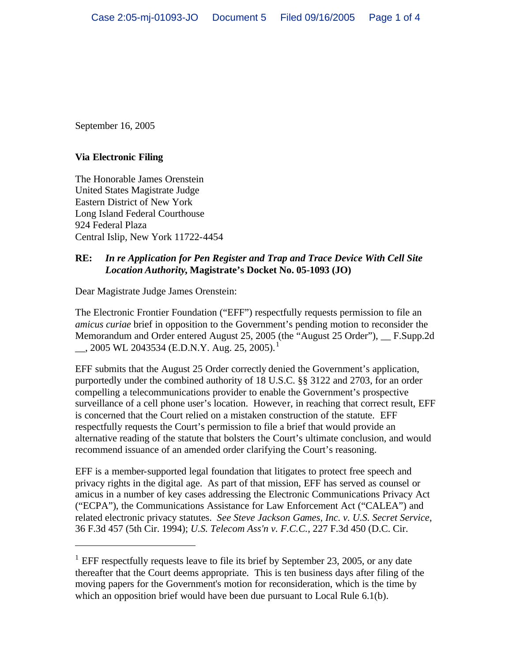September 16, 2005

## **Via Electronic Filing**

 $\overline{a}$ 

The Honorable James Orenstein United States Magistrate Judge Eastern District of New York Long Island Federal Courthouse 924 Federal Plaza Central Islip, New York 11722-4454

## **RE:** *In re Application for Pen Register and Trap and Trace Device With Cell Site Location Authority***, Magistrate's Docket No. 05-1093 (JO)**

Dear Magistrate Judge James Orenstein:

The Electronic Frontier Foundation ("EFF") respectfully requests permission to file an *amicus curiae* brief in opposition to the Government's pending motion to reconsider the Memorandum and Order entered August 25, 2005 (the "August 25 Order"), \_\_ F.Supp.2d  $\sim$ , 2005 WL 2043534 (E.D.N.Y. Aug. 25, 2005).<sup>1</sup>

EFF submits that the August 25 Order correctly denied the Government's application, purportedly under the combined authority of 18 U.S.C. §§ 3122 and 2703, for an order compelling a telecommunications provider to enable the Government's prospective surveillance of a cell phone user's location. However, in reaching that correct result, EFF is concerned that the Court relied on a mistaken construction of the statute. EFF respectfully requests the Court's permission to file a brief that would provide an alternative reading of the statute that bolsters the Court's ultimate conclusion, and would recommend issuance of an amended order clarifying the Court's reasoning.

EFF is a member-supported legal foundation that litigates to protect free speech and privacy rights in the digital age. As part of that mission, EFF has served as counsel or amicus in a number of key cases addressing the Electronic Communications Privacy Act ("ECPA"), the Communications Assistance for Law Enforcement Act ("CALEA") and related electronic privacy statutes. *See Steve Jackson Games, Inc. v. U.S. Secret Service*, 36 F.3d 457 (5th Cir. 1994); *U.S. Telecom Ass'n v. F.C.C.*, 227 F.3d 450 (D.C. Cir.

<sup>&</sup>lt;sup>1</sup> EFF respectfully requests leave to file its brief by September 23, 2005, or any date thereafter that the Court deems appropriate. This is ten business days after filing of the moving papers for the Government's motion for reconsideration, which is the time by which an opposition brief would have been due pursuant to Local Rule 6.1(b).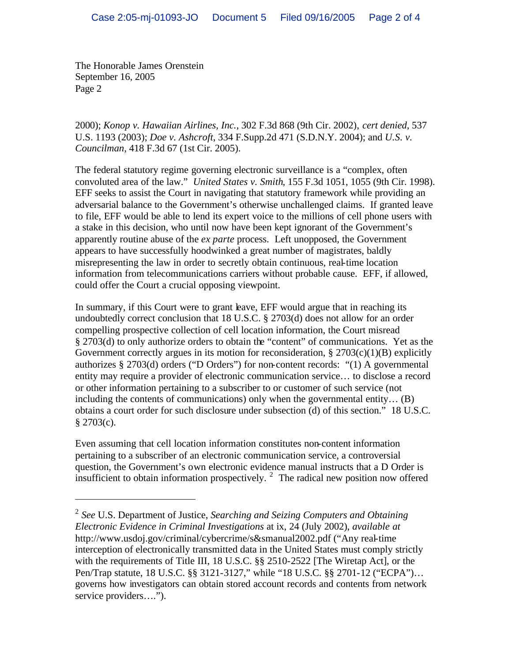The Honorable James Orenstein September 16, 2005 Page 2

 $\overline{a}$ 

2000); *Konop v. Hawaiian Airlines, Inc.*, 302 F.3d 868 (9th Cir. 2002), *cert denied*, 537 U.S. 1193 (2003); *Doe v. Ashcroft*, 334 F.Supp.2d 471 (S.D.N.Y. 2004); and *U.S. v. Councilman*, 418 F.3d 67 (1st Cir. 2005).

The federal statutory regime governing electronic surveillance is a "complex, often convoluted area of the law." *United States v. Smith*, 155 F.3d 1051, 1055 (9th Cir. 1998). EFF seeks to assist the Court in navigating that statutory framework while providing an adversarial balance to the Government's otherwise unchallenged claims. If granted leave to file, EFF would be able to lend its expert voice to the millions of cell phone users with a stake in this decision, who until now have been kept ignorant of the Government's apparently routine abuse of the *ex parte* process. Left unopposed, the Government appears to have successfully hoodwinked a great number of magistrates, baldly misrepresenting the law in order to secretly obtain continuous, real-time location information from telecommunications carriers without probable cause. EFF, if allowed, could offer the Court a crucial opposing viewpoint.

In summary, if this Court were to grant leave, EFF would argue that in reaching its undoubtedly correct conclusion that 18 U.S.C. § 2703(d) does not allow for an order compelling prospective collection of cell location information, the Court misread § 2703(d) to only authorize orders to obtain the "content" of communications. Yet as the Government correctly argues in its motion for reconsideration,  $\S 2703(c)(1)(B)$  explicitly authorizes § 2703(d) orders ("D Orders") for non-content records: "(1) A governmental entity may require a provider of electronic communication service… to disclose a record or other information pertaining to a subscriber to or customer of such service (not including the contents of communications) only when the governmental entity… (B) obtains a court order for such disclosure under subsection (d) of this section." 18 U.S.C. § 2703(c).

Even assuming that cell location information constitutes non-content information pertaining to a subscriber of an electronic communication service, a controversial question, the Government's own electronic evidence manual instructs that a D Order is insufficient to obtain information prospectively.<sup>2</sup> The radical new position now offered

<sup>2</sup> *See* U.S. Department of Justice, *Searching and Seizing Computers and Obtaining Electronic Evidence in Criminal Investigations* at ix, 24 (July 2002), *available at*  http://www.usdoj.gov/criminal/cybercrime/s&smanual2002.pdf ("Any real-time interception of electronically transmitted data in the United States must comply strictly with the requirements of Title III, 18 U.S.C. §§ 2510-2522 [The Wiretap Act], or the Pen/Trap statute, 18 U.S.C. §§ 3121-3127," while "18 U.S.C. §§ 2701-12 ("ECPA")… governs how investigators can obtain stored account records and contents from network service providers....".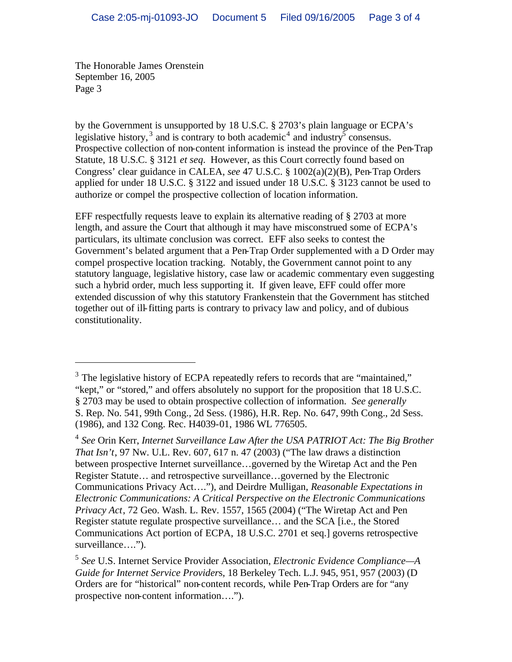The Honorable James Orenstein September 16, 2005 Page 3

 $\overline{a}$ 

by the Government is unsupported by 18 U.S.C. § 2703's plain language or ECPA's legislative history,<sup>3</sup> and is contrary to both academic<sup>4</sup> and industry<sup>5</sup> consensus. Prospective collection of non-content information is instead the province of the Pen-Trap Statute, 18 U.S.C. § 3121 *et seq*. However, as this Court correctly found based on Congress' clear guidance in CALEA, *see* 47 U.S.C. § 1002(a)(2)(B), Pen-Trap Orders applied for under 18 U.S.C. § 3122 and issued under 18 U.S.C. § 3123 cannot be used to authorize or compel the prospective collection of location information.

EFF respectfully requests leave to explain its alternative reading of § 2703 at more length, and assure the Court that although it may have misconstrued some of ECPA's particulars, its ultimate conclusion was correct. EFF also seeks to contest the Government's belated argument that a Pen-Trap Order supplemented with a D Order may compel prospective location tracking. Notably, the Government cannot point to any statutory language, legislative history, case law or academic commentary even suggesting such a hybrid order, much less supporting it. If given leave, EFF could offer more extended discussion of why this statutory Frankenstein that the Government has stitched together out of ill-fitting parts is contrary to privacy law and policy, and of dubious constitutionality.

<sup>&</sup>lt;sup>3</sup> The legislative history of ECPA repeatedly refers to records that are "maintained," "kept," or "stored," and offers absolutely no support for the proposition that 18 U.S.C. § 2703 may be used to obtain prospective collection of information. *See generally*  S. Rep. No. 541, 99th Cong., 2d Sess. (1986), H.R. Rep. No. 647, 99th Cong., 2d Sess. (1986), and 132 Cong. Rec. H4039-01, 1986 WL 776505.

<sup>&</sup>lt;sup>4</sup> See Orin Kerr, *Internet Surveillance Law After the USA PATRIOT Act: The Big Brother That Isn't*, 97 Nw. U.L. Rev. 607, 617 n. 47 (2003) ("The law draws a distinction between prospective Internet surveillance…governed by the Wiretap Act and the Pen Register Statute… and retrospective surveillance…governed by the Electronic Communications Privacy Act…."), and Deirdre Mulligan, *Reasonable Expectations in Electronic Communications: A Critical Perspective on the Electronic Communications Privacy Act*, 72 Geo. Wash. L. Rev. 1557, 1565 (2004) ("The Wiretap Act and Pen Register statute regulate prospective surveillance… and the SCA [i.e., the Stored Communications Act portion of ECPA, 18 U.S.C. 2701 et seq.] governs retrospective surveillance....").

<sup>5</sup> *See* U.S. Internet Service Provider Association, *Electronic Evidence Compliance—A Guide for Internet Service Provider*s, 18 Berkeley Tech. L.J. 945, 951, 957 (2003) (D Orders are for "historical" non-content records, while Pen-Trap Orders are for "any prospective non-content information….").